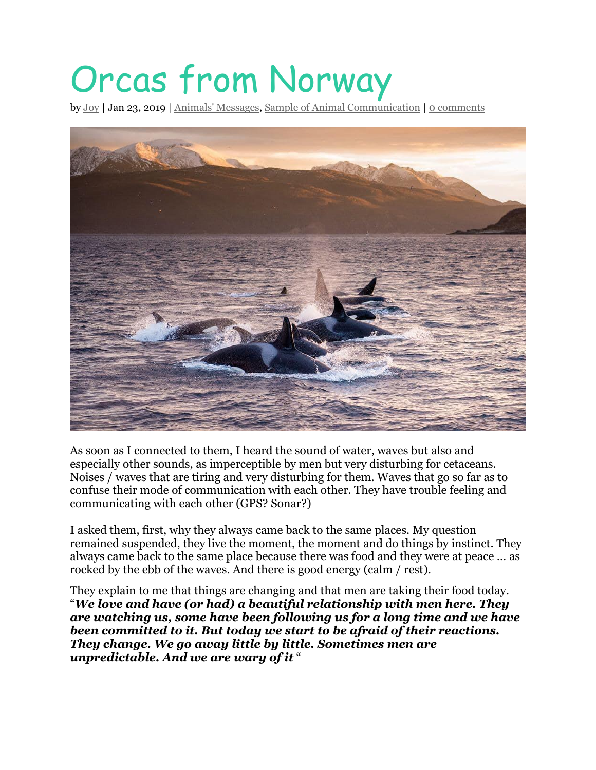## Orcas from Norway

by [Joy](http://www.fromjoy.fr/en/author/joy/) | Jan 23, 2019 | Animals' [Messages,](http://www.fromjoy.fr/en/category/blog-en/animal-com/) Sample of Animal [Communication](http://www.fromjoy.fr/en/category/sample-of-animal-communication/) | 0 [comments](http://www.fromjoy.fr/en/2019/01/23/orcas-from-norway/#respond)



As soon as I connected to them, I heard the sound of water, waves but also and especially other sounds, as imperceptible by men but very disturbing for cetaceans. Noises / waves that are tiring and very disturbing for them. Waves that go so far as to confuse their mode of communication with each other. They have trouble feeling and communicating with each other (GPS? Sonar?)

I asked them, first, why they always came back to the same places. My question remained suspended, they live the moment, the moment and do things by instinct. They always came back to the same place because there was food and they were at peace … as rocked by the ebb of the waves. And there is good energy (calm / rest).

They explain to me that things are changing and that men are taking their food today. "*We love and have (or had) a beautiful relationship with men here. They are watching us, some have been following us for a long time and we have been committed to it. But today we start to be afraid of their reactions. They change. We go away little by little. Sometimes men are unpredictable. And we are wary of it* "